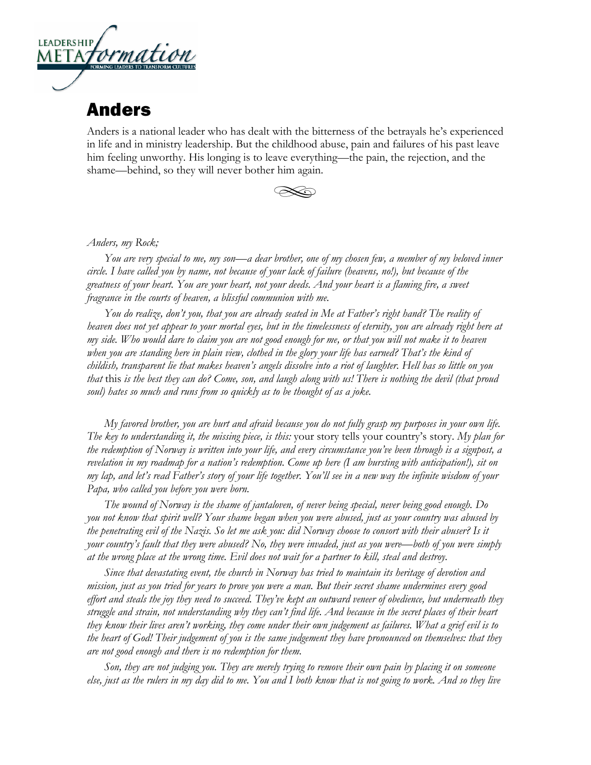

## Anders

Anders is a national leader who has dealt with the bitterness of the betrayals he's experienced in life and in ministry leadership. But the childhood abuse, pain and failures of his past leave him feeling unworthy. His longing is to leave everything—the pain, the rejection, and the shame—behind, so they will never bother him again.



## *Anders, my Rock;*

*You are very special to me, my son—a dear brother, one of my chosen few, a member of my beloved inner circle. I have called you by name, not because of your lack of failure (heavens, no!), but because of the greatness of your heart. You are your heart, not your deeds. And your heart is a flaming fire, a sweet fragrance in the courts of heaven, a blissful communion with me.* 

*You do realize, don't you, that you are already seated in Me at Father's right hand? The reality of heaven does not yet appear to your mortal eyes, but in the timelessness of eternity, you are already right here at my side. Who would dare to claim you are not good enough for me, or that you will not make it to heaven when you are standing here in plain view, clothed in the glory your life has earned? That's the kind of childish, transparent lie that makes heaven's angels dissolve into a riot of laughter. Hell has so little on you that* this *is the best they can do? Come, son, and laugh along with us! There is nothing the devil (that proud soul) hates so much and runs from so quickly as to be thought of as a joke.* 

*My favored brother, you are hurt and afraid because you do not fully grasp my purposes in your own life. The key to understanding it, the missing piece, is this:* your story tells your country's story. *My plan for the redemption of Norway is written into your life, and every circumstance you've been through is a signpost, a revelation in my roadmap for a nation's redemption. Come up here (I am bursting with anticipation!), sit on my lap, and let's read Father's story of your life together. You'll see in a new way the infinite wisdom of your Papa, who called you before you were born.* 

*The wound of Norway is the shame of jantaloven, of never being special, never being good enough. Do you not know that spirit well? Your shame began when you were abused, just as your country was abused by the penetrating evil of the Nazis. So let me ask you: did Norway choose to consort with their abuser? Is it your country's fault that they were abused? No, they were invaded, just as you were—both of you were simply at the wrong place at the wrong time. Evil does not wait for a partner to kill, steal and destroy.*

*Since that devastating event, the church in Norway has tried to maintain its heritage of devotion and mission, just as you tried for years to prove you were a man. But their secret shame undermines every good effort and steals the joy they need to succeed. They've kept an outward veneer of obedience, but underneath they struggle and strain, not understanding why they can't find life. And because in the secret places of their heart they know their lives aren't working, they come under their own judgement as failures. What a grief evil is to the heart of God! Their judgement of you is the same judgement they have pronounced on themselves: that they are not good enough and there is no redemption for them.* 

*Son, they are not judging you. They are merely trying to remove their own pain by placing it on someone else, just as the rulers in my day did to me. You and I both know that is not going to work. And so they live*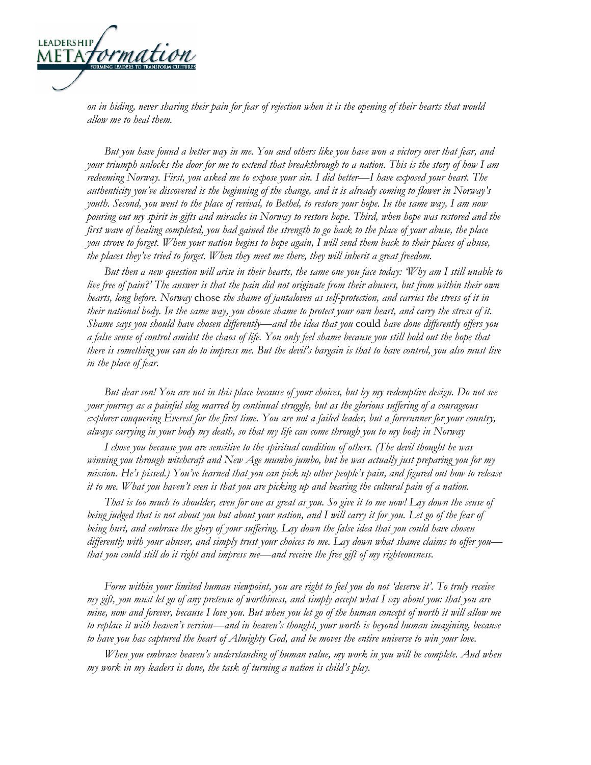

*on in hiding, never sharing their pain for fear of rejection when it is the opening of their hearts that would allow me to heal them.*

*But you have found a better way in me. You and others like you have won a victory over that fear, and your triumph unlocks the door for me to extend that breakthrough to a nation. This is the story of how I am redeeming Norway. First, you asked me to expose your sin. I did better—I have exposed your heart. The authenticity you've discovered is the beginning of the change, and it is already coming to flower in Norway's youth. Second, you went to the place of revival, to Bethel, to restore your hope. In the same way, I am now pouring out my spirit in gifts and miracles in Norway to restore hope. Third, when hope was restored and the first wave of healing completed, you had gained the strength to go back to the place of your abuse, the place you strove to forget. When your nation begins to hope again, I will send them back to their places of abuse, the places they've tried to forget. When they meet me there, they will inherit a great freedom.*

*But then a new question will arise in their hearts, the same one you face today: 'Why am I still unable to live free of pain?' The answer is that the pain did not originate from their abusers, but from within their own hearts, long before. Norway* chose *the shame of jantaloven as self-protection, and carries the stress of it in their national body. In the same way, you choose shame to protect your own heart, and carry the stress of it. Shame says you should have chosen differently—and the idea that you* could *have done differently offers you a false sense of control amidst the chaos of life. You only feel shame because you still hold out the hope that there is something you can do to impress me. But the devil's bargain is that to have control, you also must live in the place of fear.* 

*But dear son! You are not in this place because of your choices, but by my redemptive design. Do not see your journey as a painful slog marred by continual struggle, but as the glorious suffering of a courageous explorer conquering Everest for the first time. You are not a failed leader, but a forerunner for your country, always carrying in your body my death, so that my life can come through you to my body in Norway*

*I chose you because you are sensitive to the spiritual condition of others. (The devil thought he was winning you through witchcraft and New Age mumbo jumbo, but he was actually just preparing you for my mission. He's pissed.) You've learned that you can pick up other people's pain, and figured out how to release it to me. What you haven't seen is that you are picking up and bearing the cultural pain of a nation.*

*That is too much to shoulder, even for one as great as you. So give it to me now! Lay down the sense of*  being judged that is not about you but about your nation, and I will carry it for you. Let go of the fear of *being hurt, and embrace the glory of your suffering. Lay down the false idea that you could have chosen differently with your abuser, and simply trust your choices to me. Lay down what shame claims to offer you that you could still do it right and impress me—and receive the free gift of my righteousness.* 

*Form within your limited human viewpoint, you are right to feel you do not 'deserve it'. To truly receive my gift, you must let go of any pretense of worthiness, and simply accept what I say about you: that you are mine, now and forever, because I love you. But when you let go of the human concept of worth it will allow me to replace it with heaven's version—and in heaven's thought, your worth is beyond human imagining, because to have you has captured the heart of Almighty God, and he moves the entire universe to win your love.*

*When you embrace heaven's understanding of human value, my work in you will be complete. And when my work in my leaders is done, the task of turning a nation is child's play.*